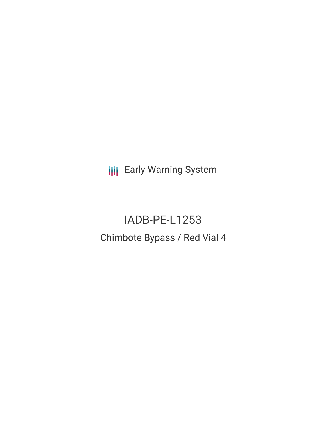**III** Early Warning System

# IADB-PE-L1253 Chimbote Bypass / Red Vial 4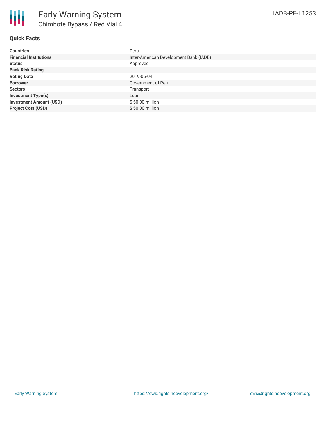

## **Quick Facts**

| <b>Countries</b>               | Peru                                   |
|--------------------------------|----------------------------------------|
| <b>Financial Institutions</b>  | Inter-American Development Bank (IADB) |
| <b>Status</b>                  | Approved                               |
| <b>Bank Risk Rating</b>        | U                                      |
| <b>Voting Date</b>             | 2019-06-04                             |
| <b>Borrower</b>                | Government of Peru                     |
| <b>Sectors</b>                 | Transport                              |
| <b>Investment Type(s)</b>      | Loan                                   |
| <b>Investment Amount (USD)</b> | $$50.00$ million                       |
| <b>Project Cost (USD)</b>      | $$50.00$ million                       |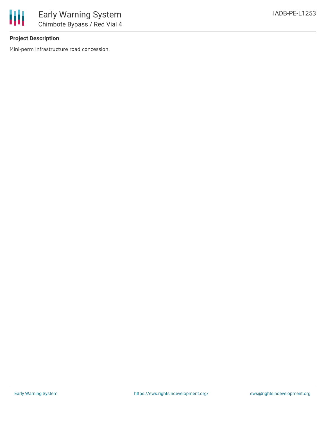

# **Project Description**

Mini-perm infrastructure road concession.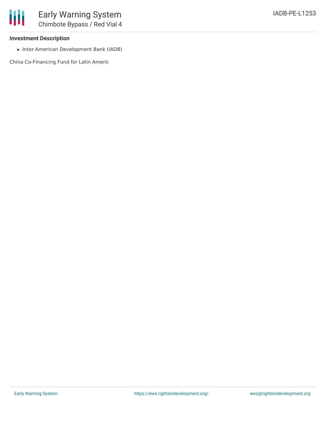#### **Investment Description**

• Inter-American Development Bank (IADB)

China Co-Financing Fund for Latin Americ